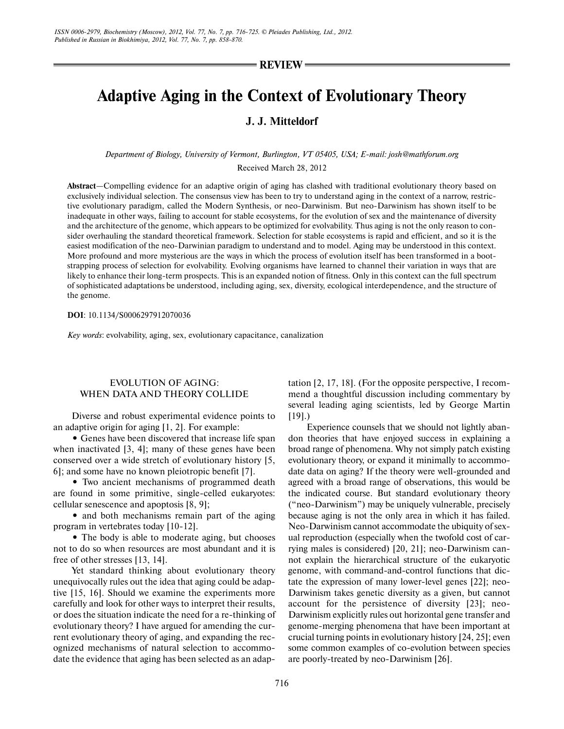**REVIEW**

# **Adaptive Aging in the Context of Evolutionary Theory**

## **J. J. Mitteldorf**

*Department of Biology, University of Vermont, Burlington, VT 05405, USA; E-mail: josh@mathforum.org*

Received March 28, 2012

**Abstract**—Compelling evidence for an adaptive origin of aging has clashed with traditional evolutionary theory based on exclusively individual selection. The consensus view has been to try to understand aging in the context of a narrow, restrictive evolutionary paradigm, called the Modern Synthesis, or neo-Darwinism. But neo-Darwinism has shown itself to be inadequate in other ways, failing to account for stable ecosystems, for the evolution of sex and the maintenance of diversity and the architecture of the genome, which appears to be optimized for evolvability. Thus aging is not the only reason to consider overhauling the standard theoretical framework. Selection for stable ecosystems is rapid and efficient, and so it is the easiest modification of the neo-Darwinian paradigm to understand and to model. Aging may be understood in this context. More profound and more mysterious are the ways in which the process of evolution itself has been transformed in a bootstrapping process of selection for evolvability. Evolving organisms have learned to channel their variation in ways that are likely to enhance their long-term prospects. This is an expanded notion of fitness. Only in this context can the full spectrum of sophisticated adaptations be understood, including aging, sex, diversity, ecological interdependence, and the structure of the genome.

#### **DOI**: 10.1134/S0006297912070036

*Key words*: evolvability, aging, sex, evolutionary capacitance, canalization

## EVOLUTION OF AGING: WHEN DATA AND THEORY COLLIDE

Diverse and robust experimental evidence points to an adaptive origin for aging [1, 2]. For example:

**•** Genes have been discovered that increase life span when inactivated [3, 4]; many of these genes have been conserved over a wide stretch of evolutionary history [5, 6]; and some have no known pleiotropic benefit [7].

**•** Two ancient mechanisms of programmed death are found in some primitive, single-celled eukaryotes: cellular senescence and apoptosis [8, 9];

• and both mechanisms remain part of the aging program in vertebrates today [10-12].

**•** The body is able to moderate aging, but chooses not to do so when resources are most abundant and it is free of other stresses [13, 14].

Yet standard thinking about evolutionary theory unequivocally rules out the idea that aging could be adaptive [15, 16]. Should we examine the experiments more carefully and look for other ways to interpret their results, or does the situation indicate the need for a re-thinking of evolutionary theory? I have argued for amending the current evolutionary theory of aging, and expanding the recognized mechanisms of natural selection to accommodate the evidence that aging has been selected as an adaptation [2, 17, 18]. (For the opposite perspective, I recommend a thoughtful discussion including commentary by several leading aging scientists, led by George Martin [19].)

Experience counsels that we should not lightly abandon theories that have enjoyed success in explaining a broad range of phenomena. Why not simply patch existing evolutionary theory, or expand it minimally to accommodate data on aging? If the theory were well-grounded and agreed with a broad range of observations, this would be the indicated course. But standard evolutionary theory ("neo-Darwinism") may be uniquely vulnerable, precisely because aging is not the only area in which it has failed. Neo-Darwinism cannot accommodate the ubiquity of sexual reproduction (especially when the twofold cost of carrying males is considered) [20, 21]; neo-Darwinism cannot explain the hierarchical structure of the eukaryotic genome, with command-and-control functions that dictate the expression of many lower-level genes [22]; neo-Darwinism takes genetic diversity as a given, but cannot account for the persistence of diversity [23]; neo-Darwinism explicitly rules out horizontal gene transfer and genome-merging phenomena that have been important at crucial turning points in evolutionary history [24, 25]; even some common examples of co-evolution between species are poorly-treated by neo-Darwinism [26].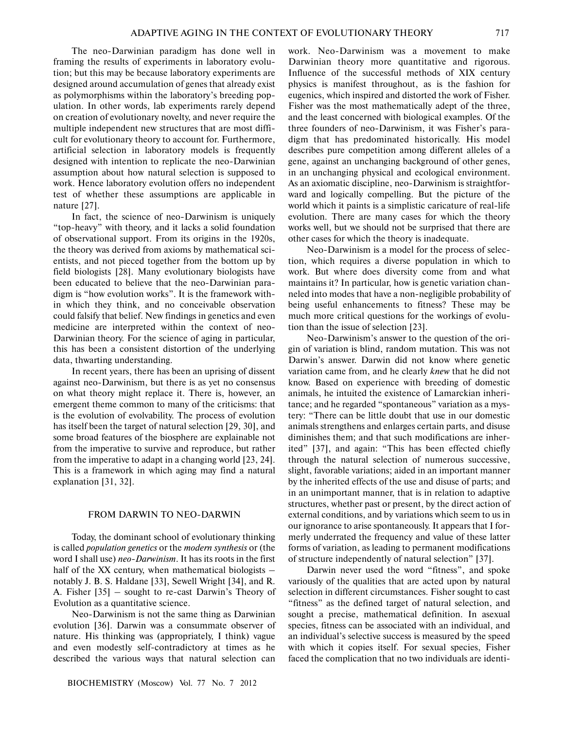The neo-Darwinian paradigm has done well in framing the results of experiments in laboratory evolution; but this may be because laboratory experiments are designed around accumulation of genes that already exist as polymorphisms within the laboratory's breeding population. In other words, lab experiments rarely depend on creation of evolutionary novelty, and never require the multiple independent new structures that are most difficult for evolutionary theory to account for. Furthermore, artificial selection in laboratory models is frequently designed with intention to replicate the neo-Darwinian assumption about how natural selection is supposed to work. Hence laboratory evolution offers no independent test of whether these assumptions are applicable in nature [27].

In fact, the science of neo-Darwinism is uniquely "top-heavy" with theory, and it lacks a solid foundation of observational support. From its origins in the 1920s, the theory was derived from axioms by mathematical scientists, and not pieced together from the bottom up by field biologists [28]. Many evolutionary biologists have been educated to believe that the neo-Darwinian paradigm is "how evolution works". It is the framework within which they think, and no conceivable observation could falsify that belief. New findings in genetics and even medicine are interpreted within the context of neo-Darwinian theory. For the science of aging in particular, this has been a consistent distortion of the underlying data, thwarting understanding.

In recent years, there has been an uprising of dissent against neo-Darwinism, but there is as yet no consensus on what theory might replace it. There is, however, an emergent theme common to many of the criticisms: that is the evolution of evolvability. The process of evolution has itself been the target of natural selection [29, 30], and some broad features of the biosphere are explainable not from the imperative to survive and reproduce, but rather from the imperative to adapt in a changing world [23, 24]. This is a framework in which aging may find a natural explanation [31, 32].

#### FROM DARWIN TO NEO-DARWIN

Today, the dominant school of evolutionary thinking is called *population genetics* or the *modern synthesis* or (the word I shall use) *neo-Darwinism*. It has its roots in the first half of the XX century, when mathematical biologists  $$ notably J. B. S. Haldane [33], Sewell Wright [34], and R. A. Fisher [35] – sought to re-cast Darwin's Theory of Evolution as a quantitative science.

Neo-Darwinism is not the same thing as Darwinian evolution [36]. Darwin was a consummate observer of nature. His thinking was (appropriately, I think) vague and even modestly self-contradictory at times as he described the various ways that natural selection can

work. Neo-Darwinism was a movement to make Darwinian theory more quantitative and rigorous. Influence of the successful methods of XIX century physics is manifest throughout, as is the fashion for eugenics, which inspired and distorted the work of Fisher. Fisher was the most mathematically adept of the three, and the least concerned with biological examples. Of the three founders of neo-Darwinism, it was Fisher's paradigm that has predominated historically. His model describes pure competition among different alleles of a gene, against an unchanging background of other genes, in an unchanging physical and ecological environment. As an axiomatic discipline, neo-Darwinism is straightforward and logically compelling. But the picture of the world which it paints is a simplistic caricature of real-life evolution. There are many cases for which the theory works well, but we should not be surprised that there are other cases for which the theory is inadequate.

Neo-Darwinism is a model for the process of selection, which requires a diverse population in which to work. But where does diversity come from and what maintains it? In particular, how is genetic variation channeled into modes that have a non-negligible probability of being useful enhancements to fitness? These may be much more critical questions for the workings of evolution than the issue of selection [23].

Neo-Darwinism's answer to the question of the origin of variation is blind, random mutation. This was not Darwin's answer. Darwin did not know where genetic variation came from, and he clearly *knew* that he did not know. Based on experience with breeding of domestic animals, he intuited the existence of Lamarckian inheritance; and he regarded "spontaneous" variation as a mystery: "There can be little doubt that use in our domestic animals strengthens and enlarges certain parts, and disuse diminishes them; and that such modifications are inherited" [37], and again: "This has been effected chiefly through the natural selection of numerous successive, slight, favorable variations; aided in an important manner by the inherited effects of the use and disuse of parts; and in an unimportant manner, that is in relation to adaptive structures, whether past or present, by the direct action of external conditions, and by variations which seem to us in our ignorance to arise spontaneously. It appears that I formerly underrated the frequency and value of these latter forms of variation, as leading to permanent modifications of structure independently of natural selection" [37].

Darwin never used the word "fitness", and spoke variously of the qualities that are acted upon by natural selection in different circumstances. Fisher sought to cast "fitness" as the defined target of natural selection, and sought a precise, mathematical definition. In asexual species, fitness can be associated with an individual, and an individual's selective success is measured by the speed with which it copies itself. For sexual species, Fisher faced the complication that no two individuals are identi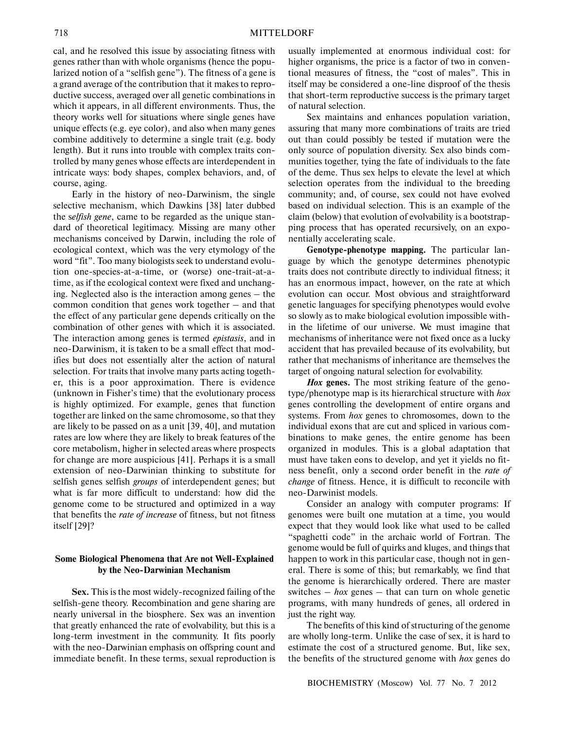cal, and he resolved this issue by associating fitness with genes rather than with whole organisms (hence the popularized notion of a "selfish gene"). The fitness of a gene is a grand average of the contribution that it makes to reproductive success, averaged over all genetic combinations in which it appears, in all different environments. Thus, the theory works well for situations where single genes have unique effects (e.g. eye color), and also when many genes combine additively to determine a single trait (e.g. body length). But it runs into trouble with complex traits controlled by many genes whose effects are interdependent in intricate ways: body shapes, complex behaviors, and, of course, aging.

Early in the history of neo-Darwinism, the single selective mechanism, which Dawkins [38] later dubbed the s*elfish gene*, came to be regarded as the unique standard of theoretical legitimacy. Missing are many other mechanisms conceived by Darwin, including the role of ecological context, which was the very etymology of the word "fit". Too many biologists seek to understand evolution one-species-at-a-time, or (worse) one-trait-at-atime, as if the ecological context were fixed and unchanging. Neglected also is the interaction among genes – the common condition that genes work together – and that the effect of any particular gene depends critically on the combination of other genes with which it is associated. The interaction among genes is termed *epistasis*, and in neo-Darwinism, it is taken to be a small effect that modifies but does not essentially alter the action of natural selection. For traits that involve many parts acting together, this is a poor approximation. There is evidence (unknown in Fisher's time) that the evolutionary process is highly optimized. For example, genes that function together are linked on the same chromosome, so that they are likely to be passed on as a unit [39, 40], and mutation rates are low where they are likely to break features of the core metabolism, higher in selected areas where prospects for change are more auspicious [41]. Perhaps it is a small extension of neo-Darwinian thinking to substitute for selfish genes selfish *groups* of interdependent genes; but what is far more difficult to understand: how did the genome come to be structured and optimized in a way that benefits the *rate of increase* of fitness, but not fitness itself [29]?

### **Some Biological Phenomena that Are not Well-Explained by the Neo-Darwinian Mechanism**

**Sex.** This is the most widely-recognized failing of the selfish-gene theory. Recombination and gene sharing are nearly universal in the biosphere. Sex was an invention that greatly enhanced the rate of evolvability, but this is a long-term investment in the community. It fits poorly with the neo-Darwinian emphasis on offspring count and immediate benefit. In these terms, sexual reproduction is

usually implemented at enormous individual cost: for higher organisms, the price is a factor of two in conventional measures of fitness, the "cost of males". This in itself may be considered a one-line disproof of the thesis that short-term reproductive success is the primary target of natural selection.

Sex maintains and enhances population variation, assuring that many more combinations of traits are tried out than could possibly be tested if mutation were the only source of population diversity. Sex also binds communities together, tying the fate of individuals to the fate of the deme. Thus sex helps to elevate the level at which selection operates from the individual to the breeding community; and, of course, sex could not have evolved based on individual selection. This is an example of the claim (below) that evolution of evolvability is a bootstrapping process that has operated recursively, on an exponentially accelerating scale.

**Genotype-phenotype mapping.** The particular language by which the genotype determines phenotypic traits does not contribute directly to individual fitness; it has an enormous impact, however, on the rate at which evolution can occur. Most obvious and straightforward genetic languages for specifying phenotypes would evolve so slowly as to make biological evolution impossible within the lifetime of our universe. We must imagine that mechanisms of inheritance were not fixed once as a lucky accident that has prevailed because of its evolvability, but rather that mechanisms of inheritance are themselves the target of ongoing natural selection for evolvability.

*Hox* **genes.** The most striking feature of the genotype/phenotype map is its hierarchical structure with *hox* genes controlling the development of entire organs and systems. From *hox* genes to chromosomes, down to the individual exons that are cut and spliced in various combinations to make genes, the entire genome has been organized in modules. This is a global adaptation that must have taken eons to develop, and yet it yields no fitness benefit, only a second order benefit in the *rate of change* of fitness. Hence, it is difficult to reconcile with neo-Darwinist models.

Consider an analogy with computer programs: If genomes were built one mutation at a time, you would expect that they would look like what used to be called "spaghetti code" in the archaic world of Fortran. The genome would be full of quirks and kluges, and things that happen to work in this particular case, though not in general. There is some of this; but remarkably, we find that the genome is hierarchically ordered. There are master switches – *hox* genes – that can turn on whole genetic programs, with many hundreds of genes, all ordered in just the right way.

The benefits of this kind of structuring of the genome are wholly long-term. Unlike the case of sex, it is hard to estimate the cost of a structured genome. But, like sex, the benefits of the structured genome with *hox* genes do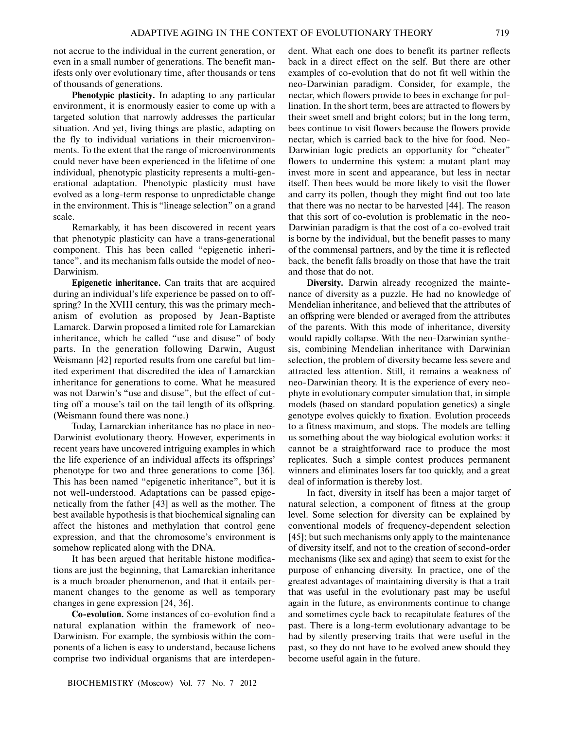not accrue to the individual in the current generation, or even in a small number of generations. The benefit manifests only over evolutionary time, after thousands or tens of thousands of generations.

**Phenotypic plasticity.** In adapting to any particular environment, it is enormously easier to come up with a targeted solution that narrowly addresses the particular situation. And yet, living things are plastic, adapting on the fly to individual variations in their microenvironments. To the extent that the range of microenvironments could never have been experienced in the lifetime of one individual, phenotypic plasticity represents a multi-generational adaptation. Phenotypic plasticity must have evolved as a long-term response to unpredictable change in the environment. This is "lineage selection" on a grand scale.

Remarkably, it has been discovered in recent years that phenotypic plasticity can have a trans-generational component. This has been called "epigenetic inheritance", and its mechanism falls outside the model of neo-Darwinism.

**Epigenetic inheritance.** Can traits that are acquired during an individual's life experience be passed on to offspring? In the XVIII century, this was the primary mechanism of evolution as proposed by Jean-Baptiste Lamarck. Darwin proposed a limited role for Lamarckian inheritance, which he called "use and disuse" of body parts. In the generation following Darwin, August Weismann [42] reported results from one careful but limited experiment that discredited the idea of Lamarckian inheritance for generations to come. What he measured was not Darwin's "use and disuse", but the effect of cutting off a mouse's tail on the tail length of its offspring. (Weismann found there was none.)

Today, Lamarckian inheritance has no place in neo-Darwinist evolutionary theory. However, experiments in recent years have uncovered intriguing examples in which the life experience of an individual affects its offsprings' phenotype for two and three generations to come [36]. This has been named "epigenetic inheritance", but it is not well-understood. Adaptations can be passed epigenetically from the father [43] as well as the mother. The best available hypothesis is that biochemical signaling can affect the histones and methylation that control gene expression, and that the chromosome's environment is somehow replicated along with the DNA.

It has been argued that heritable histone modifications are just the beginning, that Lamarckian inheritance is a much broader phenomenon, and that it entails permanent changes to the genome as well as temporary changes in gene expression [24, 36].

**Co-evolution.** Some instances of co-evolution find a natural explanation within the framework of neo-Darwinism. For example, the symbiosis within the components of a lichen is easy to understand, because lichens comprise two individual organisms that are interdepen-

BIOCHEMISTRY (Moscow) Vol. 77 No. 7 2012

dent. What each one does to benefit its partner reflects back in a direct effect on the self. But there are other examples of co-evolution that do not fit well within the neo-Darwinian paradigm. Consider, for example, the nectar, which flowers provide to bees in exchange for pollination. In the short term, bees are attracted to flowers by their sweet smell and bright colors; but in the long term, bees continue to visit flowers because the flowers provide nectar, which is carried back to the hive for food. Neo-Darwinian logic predicts an opportunity for "cheater" flowers to undermine this system: a mutant plant may invest more in scent and appearance, but less in nectar itself. Then bees would be more likely to visit the flower and carry its pollen, though they might find out too late that there was no nectar to be harvested [44]. The reason that this sort of co-evolution is problematic in the neo-Darwinian paradigm is that the cost of a co-evolved trait is borne by the individual, but the benefit passes to many of the commensal partners, and by the time it is reflected back, the benefit falls broadly on those that have the trait and those that do not.

**Diversity.** Darwin already recognized the maintenance of diversity as a puzzle. He had no knowledge of Mendelian inheritance, and believed that the attributes of an offspring were blended or averaged from the attributes of the parents. With this mode of inheritance, diversity would rapidly collapse. With the neo-Darwinian synthesis, combining Mendelian inheritance with Darwinian selection, the problem of diversity became less severe and attracted less attention. Still, it remains a weakness of neo-Darwinian theory. It is the experience of every neophyte in evolutionary computer simulation that, in simple models (based on standard population genetics) a single genotype evolves quickly to fixation. Evolution proceeds to a fitness maximum, and stops. The models are telling us something about the way biological evolution works: it cannot be a straightforward race to produce the most replicates. Such a simple contest produces permanent winners and eliminates losers far too quickly, and a great deal of information is thereby lost.

In fact, diversity in itself has been a major target of natural selection, a component of fitness at the group level. Some selection for diversity can be explained by conventional models of frequency-dependent selection [45]; but such mechanisms only apply to the maintenance of diversity itself, and not to the creation of second-order mechanisms (like sex and aging) that seem to exist for the purpose of enhancing diversity. In practice, one of the greatest advantages of maintaining diversity is that a trait that was useful in the evolutionary past may be useful again in the future, as environments continue to change and sometimes cycle back to recapitulate features of the past. There is a long-term evolutionary advantage to be had by silently preserving traits that were useful in the past, so they do not have to be evolved anew should they become useful again in the future.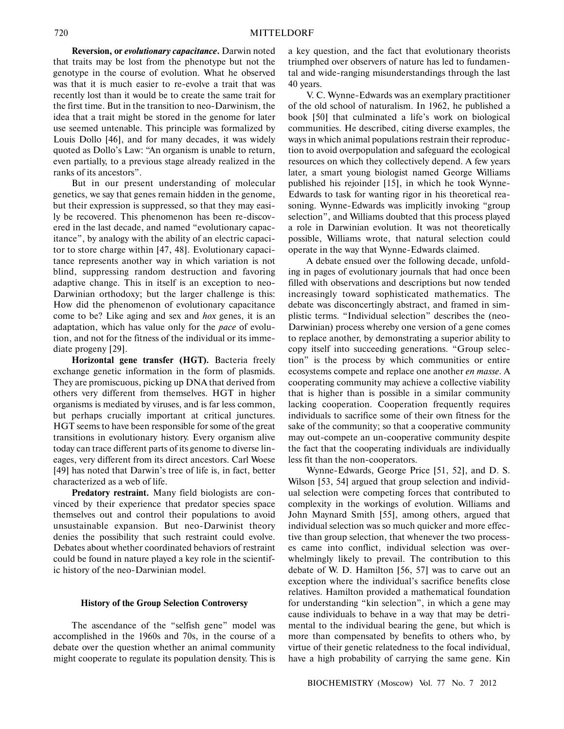**Reversion, or** *evolutionary capacitance***.** Darwin noted that traits may be lost from the phenotype but not the genotype in the course of evolution. What he observed was that it is much easier to re-evolve a trait that was recently lost than it would be to create the same trait for the first time. But in the transition to neo-Darwinism, the idea that a trait might be stored in the genome for later use seemed untenable. This principle was formalized by Louis Dollo [46], and for many decades, it was widely quoted as Dollo's Law: "An organism is unable to return, even partially, to a previous stage already realized in the ranks of its ancestors".

But in our present understanding of molecular genetics, we say that genes remain hidden in the genome, but their expression is suppressed, so that they may easily be recovered. This phenomenon has been re-discovered in the last decade, and named "evolutionary capacitance", by analogy with the ability of an electric capacitor to store charge within [47, 48]. Evolutionary capacitance represents another way in which variation is not blind, suppressing random destruction and favoring adaptive change. This in itself is an exception to neo-Darwinian orthodoxy; but the larger challenge is this: How did the phenomenon of evolutionary capacitance come to be? Like aging and sex and *hox* genes, it is an adaptation, which has value only for the *pace* of evolution, and not for the fitness of the individual or its immediate progeny [29].

**Horizontal gene transfer (HGT).** Bacteria freely exchange genetic information in the form of plasmids. They are promiscuous, picking up DNA that derived from others very different from themselves. HGT in higher organisms is mediated by viruses, and is far less common, but perhaps crucially important at critical junctures. HGT seems to have been responsible for some of the great transitions in evolutionary history. Every organism alive today can trace different parts of its genome to diverse lineages, very different from its direct ancestors. Carl Woese [49] has noted that Darwin's tree of life is, in fact, better characterized as a web of life.

**Predatory restraint.** Many field biologists are convinced by their experience that predator species space themselves out and control their populations to avoid unsustainable expansion. But neo-Darwinist theory denies the possibility that such restraint could evolve. Debates about whether coordinated behaviors of restraint could be found in nature played a key role in the scientific history of the neo-Darwinian model.

#### **History of the Group Selection Controversy**

The ascendance of the "selfish gene" model was accomplished in the 1960s and 70s, in the course of a debate over the question whether an animal community might cooperate to regulate its population density. This is

a key question, and the fact that evolutionary theorists triumphed over observers of nature has led to fundamental and wide-ranging misunderstandings through the last 40 years.

V. C. Wynne-Edwards was an exemplary practitioner of the old school of naturalism. In 1962, he published a book [50] that culminated a life's work on biological communities. He described, citing diverse examples, the ways in which animal populations restrain their reproduction to avoid overpopulation and safeguard the ecological resources on which they collectively depend. A few years later, a smart young biologist named George Williams published his rejoinder [15], in which he took Wynne-Edwards to task for wanting rigor in his theoretical reasoning. Wynne-Edwards was implicitly invoking "group selection", and Williams doubted that this process played a role in Darwinian evolution. It was not theoretically possible, Williams wrote, that natural selection could operate in the way that Wynne-Edwards claimed.

A debate ensued over the following decade, unfolding in pages of evolutionary journals that had once been filled with observations and descriptions but now tended increasingly toward sophisticated mathematics. The debate was disconcertingly abstract, and framed in simplistic terms. "Individual selection" describes the (neo-Darwinian) process whereby one version of a gene comes to replace another, by demonstrating a superior ability to copy itself into succeeding generations. "Group selection" is the process by which communities or entire ecosystems compete and replace one another *en masse*. A cooperating community may achieve a collective viability that is higher than is possible in a similar community lacking cooperation. Cooperation frequently requires individuals to sacrifice some of their own fitness for the sake of the community; so that a cooperative community may out-compete an un-cooperative community despite the fact that the cooperating individuals are individually less fit than the non-cooperators.

Wynne-Edwards, George Price [51, 52], and D. S. Wilson [53, 54] argued that group selection and individual selection were competing forces that contributed to complexity in the workings of evolution. Williams and John Maynard Smith [55], among others, argued that individual selection was so much quicker and more effective than group selection, that whenever the two processes came into conflict, individual selection was overwhelmingly likely to prevail. The contribution to this debate of W. D. Hamilton [56, 57] was to carve out an exception where the individual's sacrifice benefits close relatives. Hamilton provided a mathematical foundation for understanding "kin selection", in which a gene may cause individuals to behave in a way that may be detrimental to the individual bearing the gene, but which is more than compensated by benefits to others who, by virtue of their genetic relatedness to the focal individual, have a high probability of carrying the same gene. Kin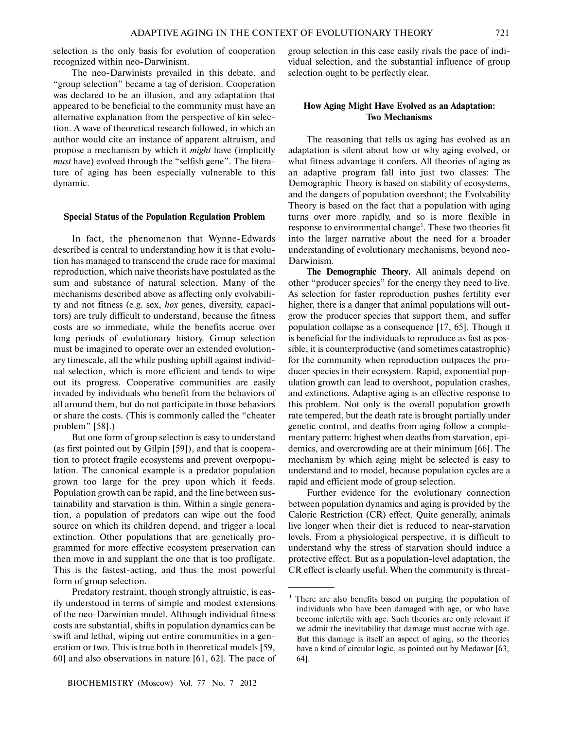selection is the only basis for evolution of cooperation recognized within neo-Darwinism.

The neo-Darwinists prevailed in this debate, and "group selection" became a tag of derision. Cooperation was declared to be an illusion, and any adaptation that appeared to be beneficial to the community must have an alternative explanation from the perspective of kin selection. A wave of theoretical research followed, in which an author would cite an instance of apparent altruism, and propose a mechanism by which it *might* have (implicitly *must* have) evolved through the "selfish gene". The literature of aging has been especially vulnerable to this dynamic.

#### **Special Status of the Population Regulation Problem**

In fact, the phenomenon that Wynne-Edwards described is central to understanding how it is that evolution has managed to transcend the crude race for maximal reproduction, which naive theorists have postulated as the sum and substance of natural selection. Many of the mechanisms described above as affecting only evolvability and not fitness (e.g. sex, *hox* genes, diversity, capacitors) are truly difficult to understand, because the fitness costs are so immediate, while the benefits accrue over long periods of evolutionary history. Group selection must be imagined to operate over an extended evolutionary timescale, all the while pushing uphill against individual selection, which is more efficient and tends to wipe out its progress. Cooperative communities are easily invaded by individuals who benefit from the behaviors of all around them, but do not participate in those behaviors or share the costs. (This is commonly called the "cheater problem" [58].)

But one form of group selection is easy to understand (as first pointed out by Gilpin [59]), and that is cooperation to protect fragile ecosystems and prevent overpopulation. The canonical example is a predator population grown too large for the prey upon which it feeds. Population growth can be rapid, and the line between sustainability and starvation is thin. Within a single generation, a population of predators can wipe out the food source on which its children depend, and trigger a local extinction. Other populations that are genetically programmed for more effective ecosystem preservation can then move in and supplant the one that is too profligate. This is the fastest-acting, and thus the most powerful form of group selection.

Predatory restraint, though strongly altruistic, is easily understood in terms of simple and modest extensions of the neo-Darwinian model. Although individual fitness costs are substantial, shifts in population dynamics can be swift and lethal, wiping out entire communities in a generation or two. This is true both in theoretical models [59, 60] and also observations in nature [61, 62]. The pace of group selection in this case easily rivals the pace of individual selection, and the substantial influence of group selection ought to be perfectly clear.

## **How Aging Might Have Evolved as an Adaptation: Two Mechanisms**

The reasoning that tells us aging has evolved as an adaptation is silent about how or why aging evolved, or what fitness advantage it confers. All theories of aging as an adaptive program fall into just two classes: The Demographic Theory is based on stability of ecosystems, and the dangers of population overshoot; the Evolvability Theory is based on the fact that a population with aging turns over more rapidly, and so is more flexible in response to environmental change<sup>1</sup>. These two theories fit into the larger narrative about the need for a broader understanding of evolutionary mechanisms, beyond neo-Darwinism.

**The Demographic Theory.** All animals depend on other "producer species" for the energy they need to live. As selection for faster reproduction pushes fertility ever higher, there is a danger that animal populations will outgrow the producer species that support them, and suffer population collapse as a consequence [17, 65]. Though it is beneficial for the individuals to reproduce as fast as possible, it is counterproductive (and sometimes catastrophic) for the community when reproduction outpaces the producer species in their ecosystem. Rapid, exponential population growth can lead to overshoot, population crashes, and extinctions. Adaptive aging is an effective response to this problem. Not only is the overall population growth rate tempered, but the death rate is brought partially under genetic control, and deaths from aging follow a complementary pattern: highest when deaths from starvation, epidemics, and overcrowding are at their minimum [66]. The mechanism by which aging might be selected is easy to understand and to model, because population cycles are a rapid and efficient mode of group selection.

Further evidence for the evolutionary connection between population dynamics and aging is provided by the Caloric Restriction (CR) effect. Quite generally, animals live longer when their diet is reduced to near-starvation levels. From a physiological perspective, it is difficult to understand why the stress of starvation should induce a protective effect. But as a population-level adaptation, the CR effect is clearly useful. When the community is threat-

<sup>&</sup>lt;sup>1</sup> There are also benefits based on purging the population of individuals who have been damaged with age, or who have become infertile with age. Such theories are only relevant if we admit the inevitability that damage must accrue with age. But this damage is itself an aspect of aging, so the theories have a kind of circular logic, as pointed out by Medawar [63, 64].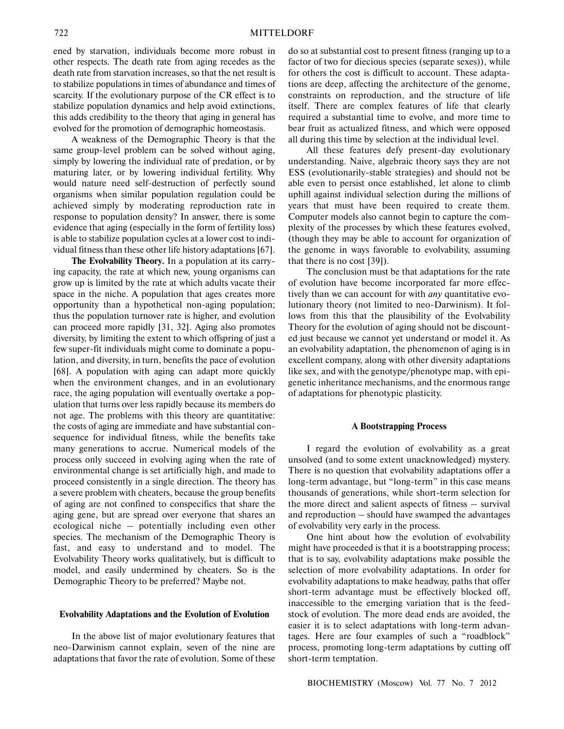ened by starvation, individuals become more robust in other respects. The death rate from aging recedes as the death rate from starvation increases, so that the net result is to stabilize populations in times of abundance and times of scarcity. If the evolutionary purpose of the CR effect is to stabilize population dynamics and help avoid extinctions, this adds credibility to the theory that aging in general has evolved for the promotion of demographic homeostasis.

A weakness of the Demographic Theory is that the same group-level problem can be solved without aging, simply by lowering the individual rate of predation, or by maturing later, or by lowering individual fertility. Why would nature need self-destruction of perfectly sound organisms when similar population regulation could be achieved simply by moderating reproduction rate in response to population density? In answer, there is some evidence that aging (especially in the form of fertility loss) is able to stabilize population cycles at a lower cost to individual fitness than these other life history adaptations [67].

**The Evolvability Theory.** In a population at its carrying capacity, the rate at which new, young organisms can grow up is limited by the rate at which adults vacate their space in the niche. A population that ages creates more opportunity than a hypothetical non-aging population; thus the population turnover rate is higher, and evolution can proceed more rapidly [31, 32]. Aging also promotes diversity, by limiting the extent to which offspring of just a few super-fit individuals might come to dominate a population, and diversity, in turn, benefits the pace of evolution [68]. A population with aging can adapt more quickly when the environment changes, and in an evolutionary race, the aging population will eventually overtake a population that turns over less rapidly because its members do not age. The problems with this theory are quantitative: the costs of aging are immediate and have substantial consequence for individual fitness, while the benefits take many generations to accrue. Numerical models of the process only succeed in evolving aging when the rate of environmental change is set artificially high, and made to proceed consistently in a single direction. The theory has a severe problem with cheaters, because the group benefits of aging are not confined to conspecifics that share the aging gene, but are spread over everyone that shares an ecological niche – potentially including even other species. The mechanism of the Demographic Theory is fast, and easy to understand and to model. The Evolvability Theory works qualitatively, but is difficult to model, and easily undermined by cheaters. So is the Demographic Theory to be preferred? Maybe not.

#### **Evolvability Adaptations and the Evolution of Evolution**

In the above list of major evolutionary features that neo-Darwinism cannot explain, seven of the nine are adaptations that favor the rate of evolution. Some of these do so at substantial cost to present fitness (ranging up to a factor of two for diecious species (separate sexes)), while for others the cost is difficult to account. These adaptations are deep, affecting the architecture of the genome, constraints on reproduction, and the structure of life itself. There are complex features of life that clearly required a substantial time to evolve, and more time to bear fruit as actualized fitness, and which were opposed all during this time by selection at the individual level.

All these features defy present-day evolutionary understanding. Naive, algebraic theory says they are not ESS (evolutionarily-stable strategies) and should not be able even to persist once established, let alone to climb uphill against individual selection during the millions of years that must have been required to create them. Computer models also cannot begin to capture the complexity of the processes by which these features evolved, (though they may be able to account for organization of the genome in ways favorable to evolvability, assuming that there is no cost [39]).

The conclusion must be that adaptations for the rate of evolution have become incorporated far more effectively than we can account for with *any* quantitative evolutionary theory (not limited to neo-Darwinism). It follows from this that the plausibility of the Evolvability Theory for the evolution of aging should not be discounted just because we cannot yet understand or model it. As an evolvability adaptation, the phenomenon of aging is in excellent company, along with other diversity adaptations like sex, and with the genotype/phenotype map, with epigenetic inheritance mechanisms, and the enormous range of adaptations for phenotypic plasticity.

#### **A Bootstrapping Process**

I regard the evolution of evolvability as a great unsolved (and to some extent unacknowledged) mystery. There is no question that evolvability adaptations offer a long-term advantage, but "long-term" in this case means thousands of generations, while short-term selection for the more direct and salient aspects of fitness – survival and reproduction – should have swamped the advantages of evolvability very early in the process.

One hint about how the evolution of evolvability might have proceeded is that it is a bootstrapping process; that is to say, evolvability adaptations make possible the selection of more evolvability adaptations. In order for evolvability adaptations to make headway, paths that offer short-term advantage must be effectively blocked off, inaccessible to the emerging variation that is the feedstock of evolution. The more dead ends are avoided, the easier it is to select adaptations with long-term advantages. Here are four examples of such a "roadblock" process, promoting long-term adaptations by cutting off short-term temptation.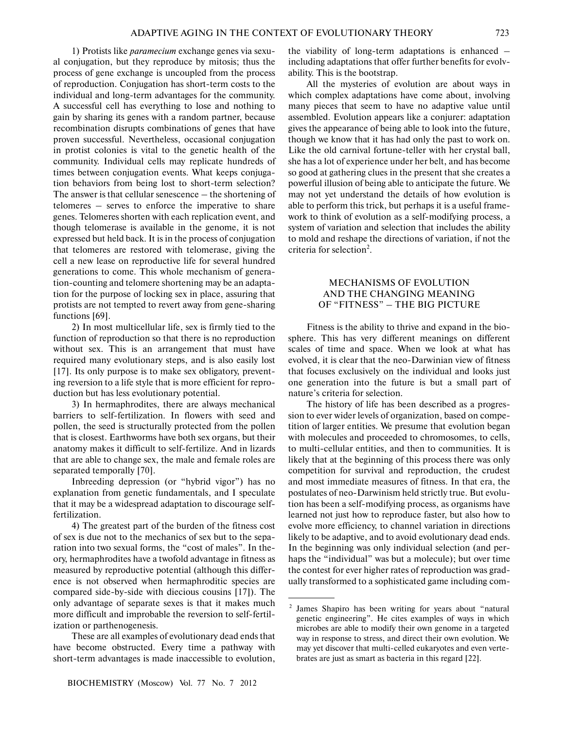1) Protists like *paramecium* exchange genes via sexual conjugation, but they reproduce by mitosis; thus the process of gene exchange is uncoupled from the process of reproduction. Conjugation has short-term costs to the individual and long-term advantages for the community. A successful cell has everything to lose and nothing to gain by sharing its genes with a random partner, because recombination disrupts combinations of genes that have proven successful. Nevertheless, occasional conjugation in protist colonies is vital to the genetic health of the community. Individual cells may replicate hundreds of times between conjugation events. What keeps conjugation behaviors from being lost to short-term selection? The answer is that cellular senescence – the shortening of telomeres – serves to enforce the imperative to share genes. Telomeres shorten with each replication event, and though telomerase is available in the genome, it is not expressed but held back. It is in the process of conjugation that telomeres are restored with telomerase, giving the cell a new lease on reproductive life for several hundred generations to come. This whole mechanism of generation-counting and telomere shortening may be an adaptation for the purpose of locking sex in place, assuring that protists are not tempted to revert away from gene-sharing functions [69].

2) In most multicellular life, sex is firmly tied to the function of reproduction so that there is no reproduction without sex. This is an arrangement that must have required many evolutionary steps, and is also easily lost [17]. Its only purpose is to make sex obligatory, preventing reversion to a life style that is more efficient for reproduction but has less evolutionary potential.

3) In hermaphrodites, there are always mechanical barriers to self-fertilization. In flowers with seed and pollen, the seed is structurally protected from the pollen that is closest. Earthworms have both sex organs, but their anatomy makes it difficult to self-fertilize. And in lizards that are able to change sex, the male and female roles are separated temporally [70].

Inbreeding depression (or "hybrid vigor") has no explanation from genetic fundamentals, and I speculate that it may be a widespread adaptation to discourage selffertilization.

4) The greatest part of the burden of the fitness cost of sex is due not to the mechanics of sex but to the separation into two sexual forms, the "cost of males". In theory, hermaphrodites have a twofold advantage in fitness as measured by reproductive potential (although this difference is not observed when hermaphroditic species are compared side-by-side with diecious cousins [17]). The only advantage of separate sexes is that it makes much more difficult and improbable the reversion to self-fertilization or parthenogenesis.

These are all examples of evolutionary dead ends that have become obstructed. Every time a pathway with short-term advantages is made inaccessible to evolution,

the viability of long-term adaptations is enhanced – including adaptations that offer further benefits for evolvability. This is the bootstrap.

All the mysteries of evolution are about ways in which complex adaptations have come about, involving many pieces that seem to have no adaptive value until assembled. Evolution appears like a conjurer: adaptation gives the appearance of being able to look into the future, though we know that it has had only the past to work on. Like the old carnival fortune-teller with her crystal ball, she has a lot of experience under her belt, and has become so good at gathering clues in the present that she creates a powerful illusion of being able to anticipate the future. We may not yet understand the details of how evolution is able to perform this trick, but perhaps it is a useful framework to think of evolution as a self-modifying process, a system of variation and selection that includes the ability to mold and reshape the directions of variation, if not the criteria for selection<sup>2</sup>.

## MECHANISMS OF EVOLUTION AND THE CHANGING MEANING OF "FITNESS" – THE BIG PICTURE

Fitness is the ability to thrive and expand in the biosphere. This has very different meanings on different scales of time and space. When we look at what has evolved, it is clear that the neo-Darwinian view of fitness that focuses exclusively on the individual and looks just one generation into the future is but a small part of nature's criteria for selection.

The history of life has been described as a progression to ever wider levels of organization, based on competition of larger entities. We presume that evolution began with molecules and proceeded to chromosomes, to cells, to multi-cellular entities, and then to communities. It is likely that at the beginning of this process there was only competition for survival and reproduction, the crudest and most immediate measures of fitness. In that era, the postulates of neo-Darwinism held strictly true. But evolution has been a self-modifying process, as organisms have learned not just how to reproduce faster, but also how to evolve more efficiency, to channel variation in directions likely to be adaptive, and to avoid evolutionary dead ends. In the beginning was only individual selection (and perhaps the "individual" was but a molecule); but over time the contest for ever higher rates of reproduction was gradually transformed to a sophisticated game including com-

<sup>2</sup> James Shapiro has been writing for years about "natural genetic engineering". He cites examples of ways in which microbes are able to modify their own genome in a targeted way in response to stress, and direct their own evolution. We may yet discover that multi-celled eukaryotes and even vertebrates are just as smart as bacteria in this regard [22].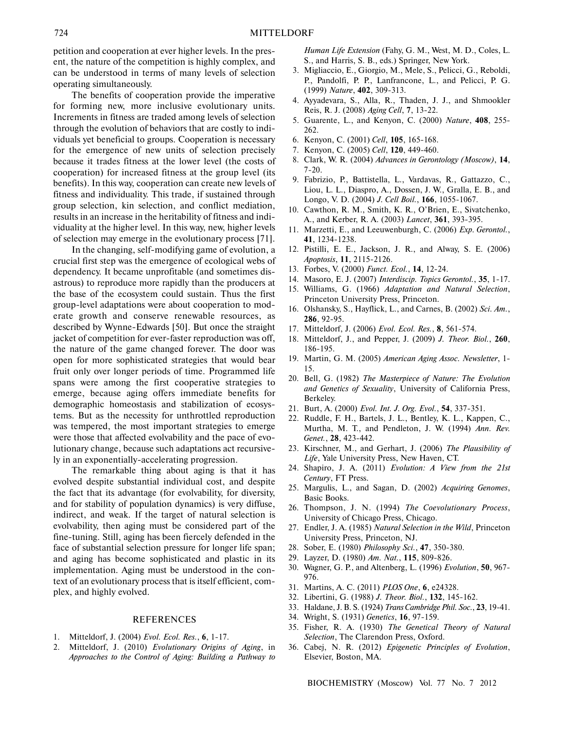petition and cooperation at ever higher levels. In the present, the nature of the competition is highly complex, and can be understood in terms of many levels of selection operating simultaneously.

The benefits of cooperation provide the imperative for forming new, more inclusive evolutionary units. Increments in fitness are traded among levels of selection through the evolution of behaviors that are costly to individuals yet beneficial to groups. Cooperation is necessary for the emergence of new units of selection precisely because it trades fitness at the lower level (the costs of cooperation) for increased fitness at the group level (its benefits). In this way, cooperation can create new levels of fitness and individuality. This trade, if sustained through group selection, kin selection, and conflict mediation, results in an increase in the heritability of fitness and individuality at the higher level. In this way, new, higher levels of selection may emerge in the evolutionary process [71].

In the changing, self-modifying game of evolution, a crucial first step was the emergence of ecological webs of dependency. It became unprofitable (and sometimes disastrous) to reproduce more rapidly than the producers at the base of the ecosystem could sustain. Thus the first group-level adaptations were about cooperation to moderate growth and conserve renewable resources, as described by Wynne-Edwards [50]. But once the straight jacket of competition for ever-faster reproduction was off, the nature of the game changed forever. The door was open for more sophisticated strategies that would bear fruit only over longer periods of time. Programmed life spans were among the first cooperative strategies to emerge, because aging offers immediate benefits for demographic homeostasis and stabilization of ecosystems. But as the necessity for unthrottled reproduction was tempered, the most important strategies to emerge were those that affected evolvability and the pace of evolutionary change, because such adaptations act recursively in an exponentially-accelerating progression.

The remarkable thing about aging is that it has evolved despite substantial individual cost, and despite the fact that its advantage (for evolvability, for diversity, and for stability of population dynamics) is very diffuse, indirect, and weak. If the target of natural selection is evolvability, then aging must be considered part of the fine-tuning. Still, aging has been fiercely defended in the face of substantial selection pressure for longer life span; and aging has become sophisticated and plastic in its implementation. Aging must be understood in the context of an evolutionary process that is itself efficient, complex, and highly evolved.

#### REFERENCES

- 1. Mitteldorf, J. (2004) *Evol. Ecol. Res.*, **6**, 1-17.
- 2. Mitteldorf, J. (2010) *Evolutionary Origins of Aging*, in *Approaches to the Control of Aging: Building a Pathway to*

*Human Life Extension* (Fahy, G. M., West, M. D., Coles, L. S., and Harris, S. B., eds.) Springer, New York.

- 3. Migliaccio, E., Giorgio, M., Mele, S., Pelicci, G., Reboldi, P., Pandolfi, P. P., Lanfrancone, L., and Pelicci, P. G. (1999) *Nature*, **402**, 309-313.
- 4. Ayyadevara, S., Alla, R., Thaden, J. J., and Shmookler Reis, R. J. (2008) *Aging Cell*, **7**, 13-22.
- 5. Guarente, L., and Kenyon, C. (2000) *Nature*, **408**, 255- 262.
- 6. Kenyon, C. (2001) *Cell*, **105**, 165-168.
- 7. Kenyon, C. (2005) *Cell*, **120**, 449-460.
- 8. Clark, W. R. (2004) *Advances in Gerontology (Moscow)*, **14**, 7-20.
- 9. Fabrizio, P., Battistella, L., Vardavas, R., Gattazzo, C., Liou, L. L., Diaspro, A., Dossen, J. W., Gralla, E. B., and Longo, V. D. (2004) *J. Cell Boil.*, **166**, 1055-1067.
- 10. Cawthon, R. M., Smith, K. R., O'Brien, E., Sivatchenko, A., and Kerber, R. A. (2003) *Lancet*, **361**, 393-395.
- 11. Marzetti, E., and Leeuwenburgh, C. (2006) *Exp. Gerontol.*, **41**, 1234-1238.
- 12. Pistilli, E. E., Jackson, J. R., and Alway, S. E. (2006) *Apoptosis*, **11**, 2115-2126.
- 13. Forbes, V. (2000) *Funct. Ecol.*, **14**, 12-24.
- 14. Masoro, E. J. (2007) *Interdiscip. Topics Gerontol.*, **35**, 1-17.
- 15. Williams, G. (1966) *Adaptation and Natural Selection*, Princeton University Press, Princeton.
- 16. Olshansky, S., Hayflick, L., and Carnes, B. (2002) *Sci. Am.*, **286**, 92-95.
- 17. Mitteldorf, J. (2006) *Evol. Ecol. Res.*, **8**, 561-574.
- 18. Mitteldorf, J., and Pepper, J. (2009) *J. Theor. Biol.*, **260**, 186-195.
- 19. Martin, G. M. (2005) *American Aging Assoc. Newsletter*, 1- 15.
- 20. Bell, G. (1982) *The Masterpiece of Nature: The Evolution and Genetics of Sexuality*, University of California Press, Berkeley.
- 21. Burt, A. (2000) *Evol. Int. J. Org. Evol.*, **54**, 337-351.
- 22. Ruddle, F. H., Bartels, J. L., Bentley, K. L., Kappen, C., Murtha, M. T., and Pendleton, J. W. (1994) *Ann. Rev. Genet.*, **28**, 423-442.
- 23. Kirschner, M., and Gerhart, J. (2006) *The Plausibility of Life*, Yale University Press, New Haven, CT.
- 24. Shapiro, J. A. (2011) *Evolution: A View from the 21st Century*, FT Press.
- 25. Margulis, L., and Sagan, D. (2002) *Acquiring Genomes*, Basic Books.
- 26. Thompson, J. N. (1994) *The Coevolutionary Process*, University of Chicago Press, Chicago.
- 27. Endler, J. A. (1985) *Natural Selection in the Wild*, Princeton University Press, Princeton, NJ.
- 28. Sober, E. (1980) *Philosophy Sci.*, **47**, 350-380.
- 29. Layzer, D. (1980) *Am. Nat.*, **115**, 809-826.
- 30. Wagner, G. P., and Altenberg, L. (1996) *Evolution*, **50**, 967- 976.
- 31. Martins, A. C. (2011) *PLOS One*, **6**, e24328.
- 32. Libertini, G. (1988) *J. Theor. Biol.*, **132**, 145-162.
- 33. Haldane, J. B. S. (1924) *Trans Cambridge Phil. Soc.*, **23**, 19-41.
- 34. Wright, S. (1931) *Genetics*, **16**, 97-159.
- 35. Fisher, R. A. (1930) *The Genetical Theory of Natural Selection*, The Clarendon Press, Oxford.
- 36. Cabej, N. R. (2012) *Epigenetic Principles of Evolution*, Elsevier, Boston, MA.